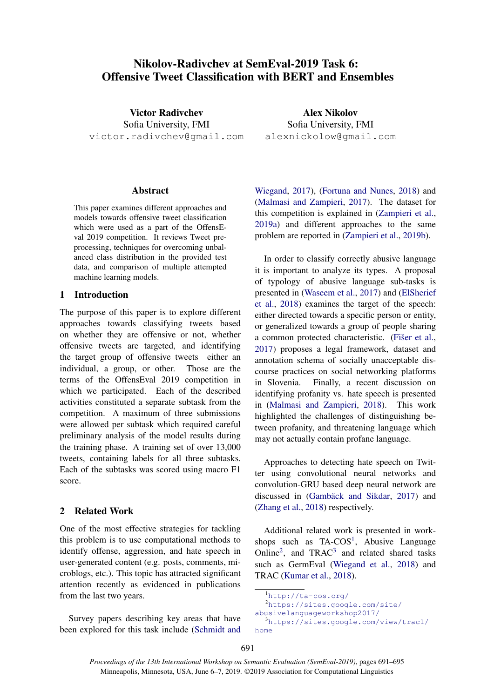# Nikolov-Radivchev at SemEval-2019 Task 6: Offensive Tweet Classification with BERT and Ensembles

Victor Radivchev Sofia University, FMI victor.radivchev@gmail.com

### Abstract

This paper examines different approaches and models towards offensive tweet classification which were used as a part of the OffensEval 2019 competition. It reviews Tweet preprocessing, techniques for overcoming unbalanced class distribution in the provided test data, and comparison of multiple attempted machine learning models.

# 1 Introduction

The purpose of this paper is to explore different approaches towards classifying tweets based on whether they are offensive or not, whether offensive tweets are targeted, and identifying the target group of offensive tweets either an individual, a group, or other. Those are the terms of the OffensEval 2019 competition in which we participated. Each of the described activities constituted a separate subtask from the competition. A maximum of three submissions were allowed per subtask which required careful preliminary analysis of the model results during the training phase. A training set of over 13,000 tweets, containing labels for all three subtasks. Each of the subtasks was scored using macro F1 score.

### 2 Related Work

One of the most effective strategies for tackling this problem is to use computational methods to identify offense, aggression, and hate speech in user-generated content (e.g. posts, comments, microblogs, etc.). This topic has attracted significant attention recently as evidenced in publications from the last two years.

Survey papers describing key areas that have been explored for this task include [\(Schmidt and](#page-4-0)

Alex Nikolov Sofia University, FMI alexnickolow@gmail.com

[Wiegand,](#page-4-0) [2017\)](#page-4-0), [\(Fortuna and Nunes,](#page-4-1) [2018\)](#page-4-1) and [\(Malmasi and Zampieri,](#page-4-2) [2017\)](#page-4-2). The dataset for this competition is explained in [\(Zampieri et al.,](#page-4-3) [2019a\)](#page-4-3) and different approaches to the same problem are reported in [\(Zampieri et al.,](#page-4-4) [2019b\)](#page-4-4).

In order to classify correctly abusive language it is important to analyze its types. A proposal of typology of abusive language sub-tasks is presented in [\(Waseem et al.,](#page-4-5) [2017\)](#page-4-5) and [\(ElSherief](#page-4-6) [et al.,](#page-4-6) [2018\)](#page-4-6) examines the target of the speech: either directed towards a specific person or entity, or generalized towards a group of people sharing a common protected characteristic. (Fišer et al., [2017\)](#page-4-7) proposes a legal framework, dataset and annotation schema of socially unacceptable discourse practices on social networking platforms in Slovenia. Finally, a recent discussion on identifying profanity vs. hate speech is presented in [\(Malmasi and Zampieri,](#page-4-8) [2018\)](#page-4-8). This work highlighted the challenges of distinguishing between profanity, and threatening language which may not actually contain profane language.

Approaches to detecting hate speech on Twitter using convolutional neural networks and convolution-GRU based deep neural network are discussed in (Gambäck and Sikdar, [2017\)](#page-4-9) and [\(Zhang et al.,](#page-4-10) [2018\)](#page-4-10) respectively.

Additional related work is presented in workshops such as  $TA-COS<sup>1</sup>$  $TA-COS<sup>1</sup>$  $TA-COS<sup>1</sup>$ , Abusive Language Online<sup>[2](#page-0-1)</sup>, and TRAC<sup>[3](#page-0-2)</sup> and related shared tasks such as GermEval [\(Wiegand et al.,](#page-4-11) [2018\)](#page-4-11) and TRAC [\(Kumar et al.,](#page-4-12) [2018\)](#page-4-12).

<span id="page-0-2"></span><sup>2</sup>[https://sites.google.com/site/](https://sites.google.com/site/abusivelanguageworkshop2017/) [abusivelanguageworkshop2017/](https://sites.google.com/site/abusivelanguageworkshop2017/) <sup>3</sup>[https://sites.google.com/view/trac1/](https://sites.google.com/view/trac1/home)

691

<span id="page-0-1"></span><span id="page-0-0"></span><sup>1</sup><http://ta-cos.org/>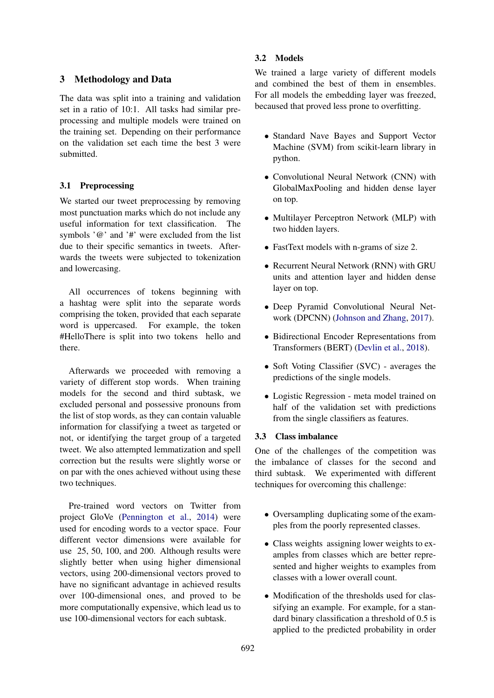# 3 Methodology and Data

The data was split into a training and validation set in a ratio of 10:1. All tasks had similar preprocessing and multiple models were trained on the training set. Depending on their performance on the validation set each time the best 3 were submitted.

### 3.1 Preprocessing

We started our tweet preprocessing by removing most punctuation marks which do not include any useful information for text classification. The symbols  $\partial$  and  $\partial$  #' were excluded from the list due to their specific semantics in tweets. Afterwards the tweets were subjected to tokenization and lowercasing.

All occurrences of tokens beginning with a hashtag were split into the separate words comprising the token, provided that each separate word is uppercased. For example, the token #HelloThere is split into two tokens hello and there.

Afterwards we proceeded with removing a variety of different stop words. When training models for the second and third subtask, we excluded personal and possessive pronouns from the list of stop words, as they can contain valuable information for classifying a tweet as targeted or not, or identifying the target group of a targeted tweet. We also attempted lemmatization and spell correction but the results were slightly worse or on par with the ones achieved without using these two techniques.

Pre-trained word vectors on Twitter from project GloVe [\(Pennington et al.,](#page-4-13) [2014\)](#page-4-13) were used for encoding words to a vector space. Four different vector dimensions were available for use 25, 50, 100, and 200. Although results were slightly better when using higher dimensional vectors, using 200-dimensional vectors proved to have no significant advantage in achieved results over 100-dimensional ones, and proved to be more computationally expensive, which lead us to use 100-dimensional vectors for each subtask.

# 3.2 Models

We trained a large variety of different models and combined the best of them in ensembles. For all models the embedding layer was freezed, becaused that proved less prone to overfitting.

- Standard Nave Bayes and Support Vector Machine (SVM) from scikit-learn library in python.
- Convolutional Neural Network (CNN) with GlobalMaxPooling and hidden dense layer on top.
- Multilayer Perceptron Network (MLP) with two hidden layers.
- FastText models with n-grams of size 2.
- Recurrent Neural Network (RNN) with GRU units and attention layer and hidden dense layer on top.
- Deep Pyramid Convolutional Neural Network (DPCNN) [\(Johnson and Zhang,](#page-4-14) [2017\)](#page-4-14).
- Bidirectional Encoder Representations from Transformers (BERT) [\(Devlin et al.,](#page-4-15) [2018\)](#page-4-15).
- Soft Voting Classifier (SVC) averages the predictions of the single models.
- Logistic Regression meta model trained on half of the validation set with predictions from the single classifiers as features.

#### 3.3 Class imbalance

One of the challenges of the competition was the imbalance of classes for the second and third subtask. We experimented with different techniques for overcoming this challenge:

- Oversampling duplicating some of the examples from the poorly represented classes.
- Class weights assigning lower weights to examples from classes which are better represented and higher weights to examples from classes with a lower overall count.
- Modification of the thresholds used for classifying an example. For example, for a standard binary classification a threshold of 0.5 is applied to the predicted probability in order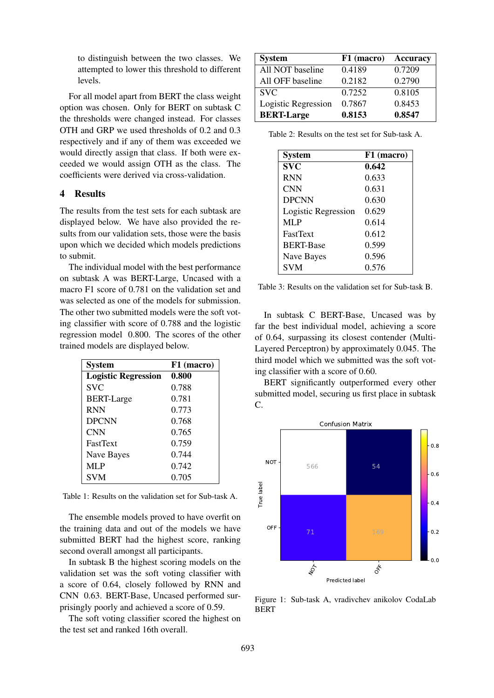to distinguish between the two classes. We attempted to lower this threshold to different levels.

For all model apart from BERT the class weight option was chosen. Only for BERT on subtask C the thresholds were changed instead. For classes OTH and GRP we used thresholds of 0.2 and 0.3 respectively and if any of them was exceeded we would directly assign that class. If both were exceeded we would assign OTH as the class. The coefficients were derived via cross-validation.

### 4 Results

The results from the test sets for each subtask are displayed below. We have also provided the results from our validation sets, those were the basis upon which we decided which models predictions to submit.

The individual model with the best performance on subtask A was BERT-Large, Uncased with a macro F1 score of 0.781 on the validation set and was selected as one of the models for submission. The other two submitted models were the soft voting classifier with score of 0.788 and the logistic regression model 0.800. The scores of the other trained models are displayed below.

| <b>System</b>              | F1 (macro) |
|----------------------------|------------|
| <b>Logistic Regression</b> | 0.800      |
| <b>SVC</b>                 | 0.788      |
| <b>BERT-Large</b>          | 0.781      |
| <b>RNN</b>                 | 0.773      |
| <b>DPCNN</b>               | 0.768      |
| <b>CNN</b>                 | 0.765      |
| <b>FastText</b>            | 0.759      |
| Nave Bayes                 | 0.744      |
| <b>MLP</b>                 | 0.742      |
| <b>SVM</b>                 | 0.705      |

Table 1: Results on the validation set for Sub-task A.

The ensemble models proved to have overfit on the training data and out of the models we have submitted BERT had the highest score, ranking second overall amongst all participants.

In subtask B the highest scoring models on the validation set was the soft voting classifier with a score of 0.64, closely followed by RNN and CNN 0.63. BERT-Base, Uncased performed surprisingly poorly and achieved a score of 0.59.

The soft voting classifier scored the highest on the test set and ranked 16th overall.

| <b>System</b>       | F1 (macro) | <b>Accuracy</b> |
|---------------------|------------|-----------------|
| All NOT baseline    | 0.4189     | 0.7209          |
| All OFF baseline    | 0.2182     | 0.2790          |
| <b>SVC</b>          | 0.7252     | 0.8105          |
| Logistic Regression | 0.7867     | 0.8453          |
| <b>BERT-Large</b>   | 0.8153     | 0.8547          |

Table 2: Results on the test set for Sub-task A.

| <b>System</b>       | F1 (macro) |
|---------------------|------------|
| <b>SVC</b>          | 0.642      |
| <b>RNN</b>          | 0.633      |
| <b>CNN</b>          | 0.631      |
| <b>DPCNN</b>        | 0.630      |
| Logistic Regression | 0.629      |
| MLP                 | 0.614      |
| <b>FastText</b>     | 0.612      |
| <b>BERT-Base</b>    | 0.599      |
| Nave Bayes          | 0.596      |
| <b>SVM</b>          | 0.576      |

| Table 3: Results on the validation set for Sub-task B. |
|--------------------------------------------------------|
|--------------------------------------------------------|

In subtask C BERT-Base, Uncased was by far the best individual model, achieving a score of 0.64, surpassing its closest contender (Multi-Layered Perceptron) by approximately 0.045. The third model which we submitted was the soft voting classifier with a score of 0.60.

BERT significantly outperformed every other submitted model, securing us first place in subtask  $\overline{C}$ .



Figure 1: Sub-task A, vradivchev anikolov CodaLab BERT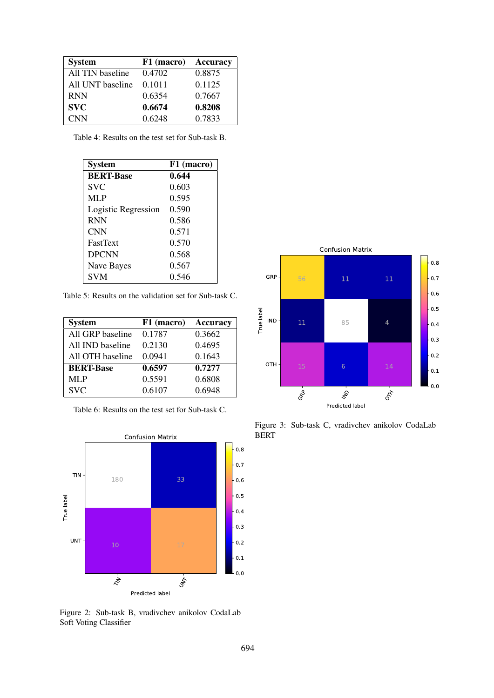| <b>System</b>    | F1 (macro) | Accuracy |
|------------------|------------|----------|
| All TIN baseline | 0.4702     | 0.8875   |
| All UNT baseline | 0.1011     | 0.1125   |
| <b>RNN</b>       | 0.6354     | 0.7667   |
| <b>SVC</b>       | 0.6674     | 0.8208   |
| <b>CNN</b>       | 0.6248     | 0.7833   |

| Table 4: Results on the test set for Sub-task B. |  |  |  |
|--------------------------------------------------|--|--|--|
|                                                  |  |  |  |

| <b>System</b>       | F1 (macro) |
|---------------------|------------|
| <b>BERT-Base</b>    | 0.644      |
| <b>SVC</b>          | 0.603      |
| <b>MLP</b>          | 0.595      |
| Logistic Regression | 0.590      |
| <b>RNN</b>          | 0.586      |
| <b>CNN</b>          | 0.571      |
| <b>FastText</b>     | 0.570      |
| <b>DPCNN</b>        | 0.568      |
| Nave Bayes          | 0.567      |
| <b>SVM</b>          | 0.546      |

Table 5: Results on the validation set for Sub-task C.

| <b>System</b>    | F1 (macro) | <b>Accuracy</b> |
|------------------|------------|-----------------|
| All GRP baseline | 0.1787     | 0.3662          |
| All IND baseline | 0.2130     | 0.4695          |
| All OTH baseline | 0.0941     | 0.1643          |
| <b>BERT-Base</b> | 0.6597     | 0.7277          |
| <b>MLP</b>       | 0.5591     | 0.6808          |
| <b>SVC</b>       | 0.6107     | 0.6948          |

Table 6: Results on the test set for Sub-task C.



Figure 2: Sub-task B, vradivchev anikolov CodaLab Soft Voting Classifier



Figure 3: Sub-task C, vradivchev anikolov CodaLab BERT